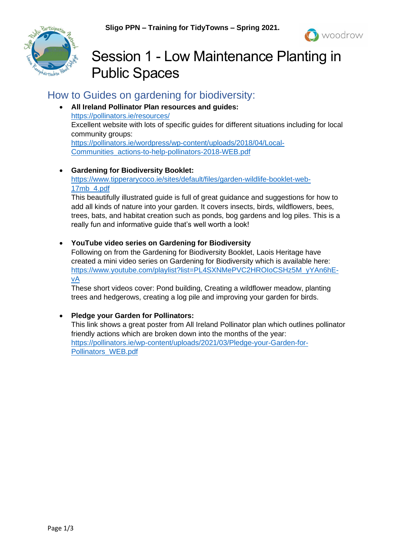



# Session 1 - Low Maintenance Planting in Public Spaces

## How to Guides on gardening for biodiversity:

• **All Ireland Pollinator Plan resources and guides:** <https://pollinators.ie/resources/> Excellent website with lots of specific guides for different situations including for local community groups: [https://pollinators.ie/wordpress/wp-content/uploads/2018/04/Local-](https://pollinators.ie/wordpress/wp-content/uploads/2018/04/Local-Communities_actions-to-help-pollinators-2018-WEB.pdf)[Communities\\_actions-to-help-pollinators-2018-WEB.pdf](https://pollinators.ie/wordpress/wp-content/uploads/2018/04/Local-Communities_actions-to-help-pollinators-2018-WEB.pdf)

#### • **Gardening for Biodiversity Booklet:**

[https://www.tipperarycoco.ie/sites/default/files/garden-wildlife-booklet-web-](https://www.tipperarycoco.ie/sites/default/files/garden-wildlife-booklet-web-17mb_4.pdf)[17mb\\_4.pdf](https://www.tipperarycoco.ie/sites/default/files/garden-wildlife-booklet-web-17mb_4.pdf)

This beautifully illustrated guide is full of great guidance and suggestions for how to add all kinds of nature into your garden. It covers insects, birds, wildflowers, bees, trees, bats, and habitat creation such as ponds, bog gardens and log piles. This is a really fun and informative guide that's well worth a look!

• **YouTube video series on Gardening for Biodiversity**

Following on from the Gardening for Biodiversity Booklet, Laois Heritage have created a mini video series on Gardening for Biodiversity which is available here: [https://www.youtube.com/playlist?list=PL4SXNMePVC2HROIoCSHz5M\\_yYAn6hE](https://www.youtube.com/playlist?list=PL4SXNMePVC2HROIoCSHz5M_yYAn6hE-vA)[vA](https://www.youtube.com/playlist?list=PL4SXNMePVC2HROIoCSHz5M_yYAn6hE-vA)

These short videos cover: Pond building, Creating a wildflower meadow, planting trees and hedgerows, creating a log pile and improving your garden for birds.

#### • **Pledge your Garden for Pollinators:**

This link shows a great poster from All Ireland Pollinator plan which outlines pollinator friendly actions which are broken down into the months of the year: [https://pollinators.ie/wp-content/uploads/2021/03/Pledge-your-Garden-for-](https://pollinators.ie/wp-content/uploads/2021/03/Pledge-your-Garden-for-Pollinators_WEB.pdf)[Pollinators\\_WEB.pdf](https://pollinators.ie/wp-content/uploads/2021/03/Pledge-your-Garden-for-Pollinators_WEB.pdf)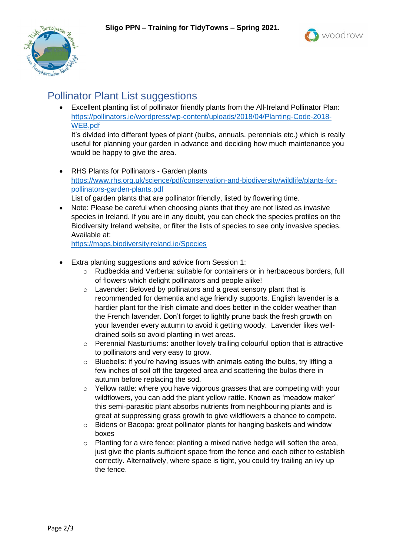



### Pollinator Plant List suggestions

• Excellent planting list of pollinator friendly plants from the All-Ireland Pollinator Plan: [https://pollinators.ie/wordpress/wp-content/uploads/2018/04/Planting-Code-2018-](https://pollinators.ie/wordpress/wp-content/uploads/2018/04/Planting-Code-2018-WEB.pdf) [WEB.pdf](https://pollinators.ie/wordpress/wp-content/uploads/2018/04/Planting-Code-2018-WEB.pdf)

It's divided into different types of plant (bulbs, annuals, perennials etc.) which is really useful for planning your garden in advance and deciding how much maintenance you would be happy to give the area.

• RHS Plants for Pollinators - Garden plants [https://www.rhs.org.uk/science/pdf/conservation-and-biodiversity/wildlife/plants-for](https://www.rhs.org.uk/science/pdf/conservation-and-biodiversity/wildlife/plants-for-pollinators-garden-plants.pdf)[pollinators-garden-plants.pdf](https://www.rhs.org.uk/science/pdf/conservation-and-biodiversity/wildlife/plants-for-pollinators-garden-plants.pdf)

List of garden plants that are pollinator friendly, listed by flowering time.

• Note: Please be careful when choosing plants that they are not listed as invasive species in Ireland. If you are in any doubt, you can check the species profiles on the Biodiversity Ireland website, or filter the lists of species to see only invasive species. Available at:

<https://maps.biodiversityireland.ie/Species>

- Extra planting suggestions and advice from Session 1:
	- o Rudbeckia and Verbena: suitable for containers or in herbaceous borders, full of flowers which delight pollinators and people alike!
	- o Lavender: Beloved by pollinators and a great sensory plant that is recommended for dementia and age friendly supports. English lavender is a hardier plant for the Irish climate and does better in the colder weather than the French lavender. Don't forget to lightly prune back the fresh growth on your lavender every autumn to avoid it getting woody. Lavender likes welldrained soils so avoid planting in wet areas.
	- $\circ$  Perennial Nasturtiums: another lovely trailing colourful option that is attractive to pollinators and very easy to grow.
	- o Bluebells: if you're having issues with animals eating the bulbs, try lifting a few inches of soil off the targeted area and scattering the bulbs there in autumn before replacing the sod.
	- $\circ$  Yellow rattle: where you have vigorous grasses that are competing with your wildflowers, you can add the plant yellow rattle. Known as 'meadow maker' this semi-parasitic plant absorbs nutrients from neighbouring plants and is great at suppressing grass growth to give wildflowers a chance to compete.
	- o Bidens or Bacopa: great pollinator plants for hanging baskets and window boxes
	- o Planting for a wire fence: planting a mixed native hedge will soften the area, just give the plants sufficient space from the fence and each other to establish correctly. Alternatively, where space is tight, you could try trailing an ivy up the fence.